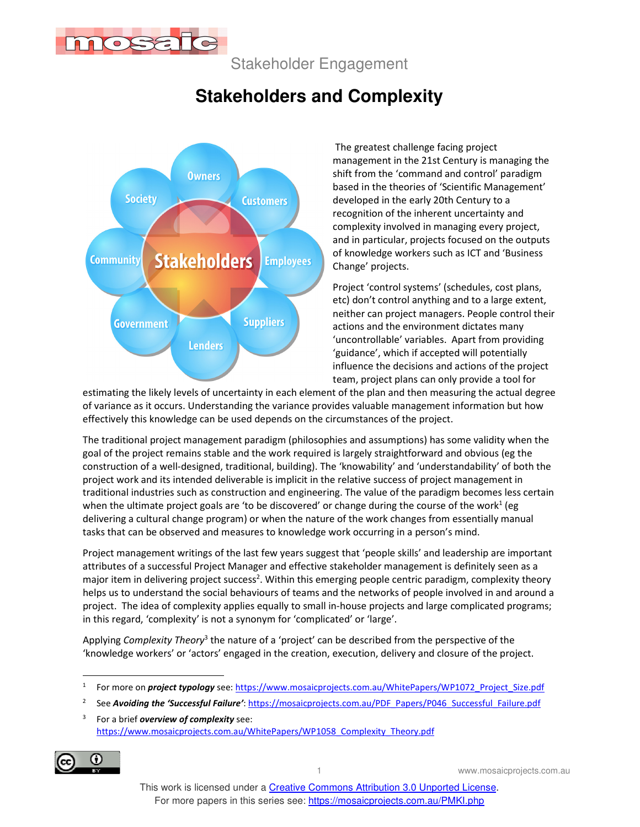

Stakeholder Engagement

# **Stakeholders and Complexity**



 The greatest challenge facing project management in the 21st Century is managing the shift from the 'command and control' paradigm based in the theories of 'Scientific Management' developed in the early 20th Century to a recognition of the inherent uncertainty and complexity involved in managing every project, and in particular, projects focused on the outputs of knowledge workers such as ICT and 'Business Change' projects.

Project 'control systems' (schedules, cost plans, etc) don't control anything and to a large extent, neither can project managers. People control their actions and the environment dictates many 'uncontrollable' variables. Apart from providing 'guidance', which if accepted will potentially influence the decisions and actions of the project team, project plans can only provide a tool for

estimating the likely levels of uncertainty in each element of the plan and then measuring the actual degree of variance as it occurs. Understanding the variance provides valuable management information but how effectively this knowledge can be used depends on the circumstances of the project.

The traditional project management paradigm (philosophies and assumptions) has some validity when the goal of the project remains stable and the work required is largely straightforward and obvious (eg the construction of a well-designed, traditional, building). The 'knowability' and 'understandability' of both the project work and its intended deliverable is implicit in the relative success of project management in traditional industries such as construction and engineering. The value of the paradigm becomes less certain when the ultimate project goals are 'to be discovered' or change during the course of the work<sup>1</sup> (eg delivering a cultural change program) or when the nature of the work changes from essentially manual tasks that can be observed and measures to knowledge work occurring in a person's mind.

Project management writings of the last few years suggest that 'people skills' and leadership are important attributes of a successful Project Manager and effective stakeholder management is definitely seen as a major item in delivering project success<sup>2</sup>. Within this emerging people centric paradigm, complexity theory helps us to understand the social behaviours of teams and the networks of people involved in and around a project. The idea of complexity applies equally to small in-house projects and large complicated programs; in this regard, 'complexity' is not a synonym for 'complicated' or 'large'.

Applying *Complexity Theory*<sup>3</sup> the nature of a 'project' can be described from the perspective of the 'knowledge workers' or 'actors' engaged in the creation, execution, delivery and closure of the project.

<sup>3</sup> For a brief *overview of complexity* see: https://www.mosaicprojects.com.au/WhitePapers/WP1058\_Complexity\_Theory.pdf



1 www.mosaicprojects.com.au

<sup>1</sup> For more on *project typology* see: https://www.mosaicprojects.com.au/WhitePapers/WP1072\_Project\_Size.pdf

<sup>2</sup> See *Avoiding the 'Successful Failure'*: https://mosaicprojects.com.au/PDF\_Papers/P046\_Successful\_Failure.pdf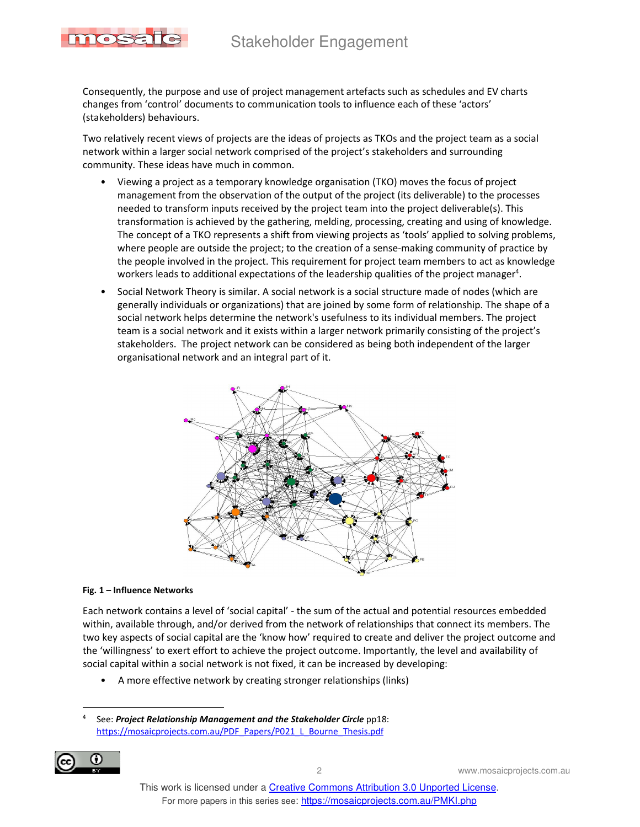### Stakeholder Engagement



Consequently, the purpose and use of project management artefacts such as schedules and EV charts changes from 'control' documents to communication tools to influence each of these 'actors' (stakeholders) behaviours.

Two relatively recent views of projects are the ideas of projects as TKOs and the project team as a social network within a larger social network comprised of the project's stakeholders and surrounding community. These ideas have much in common.

- Viewing a project as a temporary knowledge organisation (TKO) moves the focus of project management from the observation of the output of the project (its deliverable) to the processes needed to transform inputs received by the project team into the project deliverable(s). This transformation is achieved by the gathering, melding, processing, creating and using of knowledge. The concept of a TKO represents a shift from viewing projects as 'tools' applied to solving problems, where people are outside the project; to the creation of a sense-making community of practice by the people involved in the project. This requirement for project team members to act as knowledge workers leads to additional expectations of the leadership qualities of the project manager<sup>4</sup>.
- Social Network Theory is similar. A social network is a social structure made of nodes (which are generally individuals or organizations) that are joined by some form of relationship. The shape of a social network helps determine the network's usefulness to its individual members. The project team is a social network and it exists within a larger network primarily consisting of the project's stakeholders. The project network can be considered as being both independent of the larger organisational network and an integral part of it.



#### **Fig. 1 – Influence Networks**

Each network contains a level of 'social capital' - the sum of the actual and potential resources embedded within, available through, and/or derived from the network of relationships that connect its members. The two key aspects of social capital are the 'know how' required to create and deliver the project outcome and the 'willingness' to exert effort to achieve the project outcome. Importantly, the level and availability of social capital within a social network is not fixed, it can be increased by developing:

• A more effective network by creating stronger relationships (links)

<sup>4</sup> See: *Project Relationship Management and the Stakeholder Circle* pp18: https://mosaicprojects.com.au/PDF\_Papers/P021\_L\_Bourne\_Thesis.pdf



2 www.mosaicprojects.com.au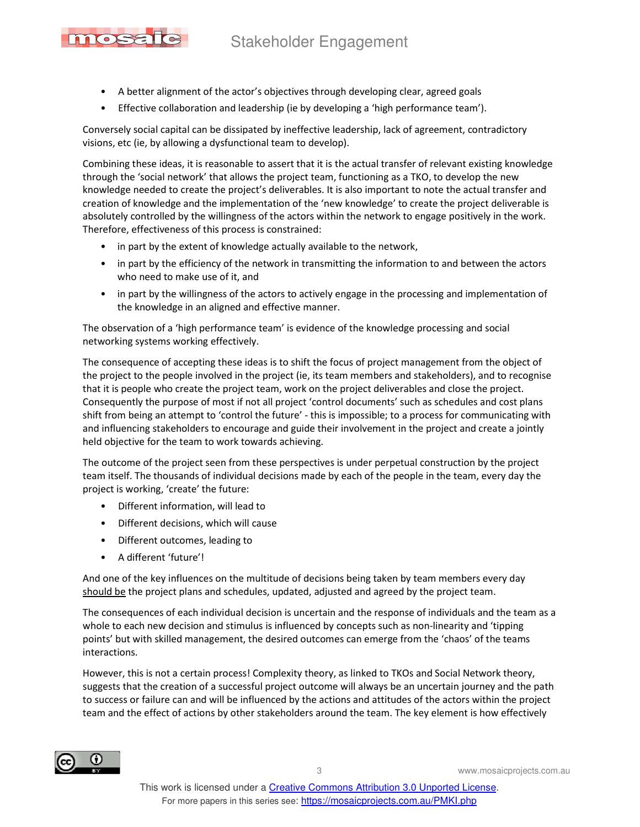## Stakeholder Engagement

- A better alignment of the actor's objectives through developing clear, agreed goals
- Effective collaboration and leadership (ie by developing a 'high performance team').

Conversely social capital can be dissipated by ineffective leadership, lack of agreement, contradictory visions, etc (ie, by allowing a dysfunctional team to develop).

Combining these ideas, it is reasonable to assert that it is the actual transfer of relevant existing knowledge through the 'social network' that allows the project team, functioning as a TKO, to develop the new knowledge needed to create the project's deliverables. It is also important to note the actual transfer and creation of knowledge and the implementation of the 'new knowledge' to create the project deliverable is absolutely controlled by the willingness of the actors within the network to engage positively in the work. Therefore, effectiveness of this process is constrained:

- in part by the extent of knowledge actually available to the network,
- in part by the efficiency of the network in transmitting the information to and between the actors who need to make use of it, and
- in part by the willingness of the actors to actively engage in the processing and implementation of the knowledge in an aligned and effective manner.

The observation of a 'high performance team' is evidence of the knowledge processing and social networking systems working effectively.

The consequence of accepting these ideas is to shift the focus of project management from the object of the project to the people involved in the project (ie, its team members and stakeholders), and to recognise that it is people who create the project team, work on the project deliverables and close the project. Consequently the purpose of most if not all project 'control documents' such as schedules and cost plans shift from being an attempt to 'control the future' - this is impossible; to a process for communicating with and influencing stakeholders to encourage and guide their involvement in the project and create a jointly held objective for the team to work towards achieving.

The outcome of the project seen from these perspectives is under perpetual construction by the project team itself. The thousands of individual decisions made by each of the people in the team, every day the project is working, 'create' the future:

- Different information, will lead to
- Different decisions, which will cause
- Different outcomes, leading to
- A different 'future'!

mosale

And one of the key influences on the multitude of decisions being taken by team members every day should be the project plans and schedules, updated, adjusted and agreed by the project team.

The consequences of each individual decision is uncertain and the response of individuals and the team as a whole to each new decision and stimulus is influenced by concepts such as non-linearity and 'tipping points' but with skilled management, the desired outcomes can emerge from the 'chaos' of the teams interactions.

However, this is not a certain process! Complexity theory, as linked to TKOs and Social Network theory, suggests that the creation of a successful project outcome will always be an uncertain journey and the path to success or failure can and will be influenced by the actions and attitudes of the actors within the project team and the effect of actions by other stakeholders around the team. The key element is how effectively



3 www.mosaicprojects.com.au